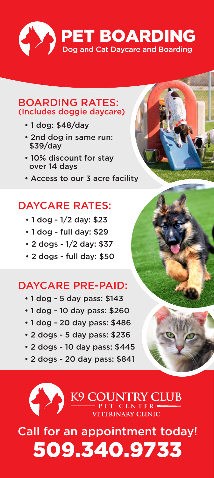

#### BOARDING RATES: (Includes doggie daycare)

- 1 dog: \$48/day
- 2nd dog in same run: \$39/day
- 10% discount for stay over 14 days
- Access to our 3 acre facility

# DAYCARE RATES:

- 1 dog 1/2 day: \$23
- 1 dog full day: \$29
- 2 dogs 1/2 day: \$37
- 2 dogs full day: \$50

### DAYCARE PRE-PAID:

- 1 dog 5 day pass: \$143
- 1 dog 10 day pass: \$260
- 1 dog 20 day pass: \$486
- 2 dogs 5 day pass: \$236
- 2 dogs 10 day pass: \$445
- 2 dogs 20 day pass: \$841

K9 COUNTRY CLUB

# Call for an appointment today! 509.340.9733